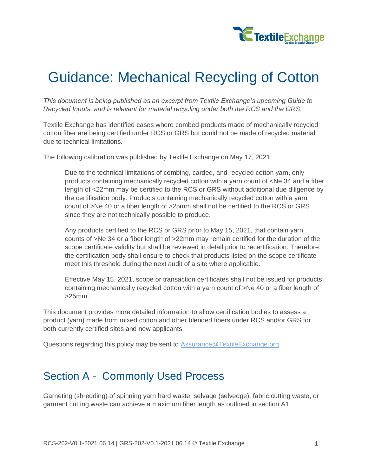

# Guidance: Mechanical Recycling of Cotton

*This document is being published as an excerpt from Textile Exchange's upcoming Guide to Recycled Inputs, and is relevant for material recycling under both the RCS and the GRS.*

Textile Exchange has identified cases where combed products made of mechanically recycled cotton fiber are being certified under RCS or GRS but could not be made of recycled material due to technical limitations.

The following calibration was published by Textile Exchange on May 17, 2021:

Due to the technical limitations of combing, carded, and recycled cotton yarn, only products containing mechanically recycled cotton with a yarn count of <Ne 34 and a fiber length of <22mm may be certified to the RCS or GRS without additional due diligence by the certification body. Products containing mechanically recycled cotton with a yarn count of >Ne 40 or a fiber length of >25mm shall not be certified to the RCS or GRS since they are not technically possible to produce.

Any products certified to the RCS or GRS prior to May 15, 2021, that contain yarn counts of >Ne 34 or a fiber length of >22mm may remain certified for the duration of the scope certificate validity but shall be reviewed in detail prior to recertification. Therefore, the certification body shall ensure to check that products listed on the scope certificate meet this threshold during the next audit of a site where applicable.

Effective May 15, 2021, scope or transaction certificates shall not be issued for products containing mechanically recycled cotton with a yarn count of >Ne 40 or a fiber length of >25mm.

This document provides more detailed information to allow certification bodies to assess a product (yarn) made from mixed cotton and other blended fibers under RCS and/or GRS for both currently certified sites and new applicants.

Questions regarding this policy may be sent to [Assurance@TextileExchange.org.](mailto:Assurance@TextileExchange.org)

## Section A - Commonly Used Process

Garneting (shredding) of spinning yarn hard waste, selvage (selvedge), fabric cutting waste, or garment cutting waste can achieve a maximum fiber length as outlined in section [A1.](#page-1-0)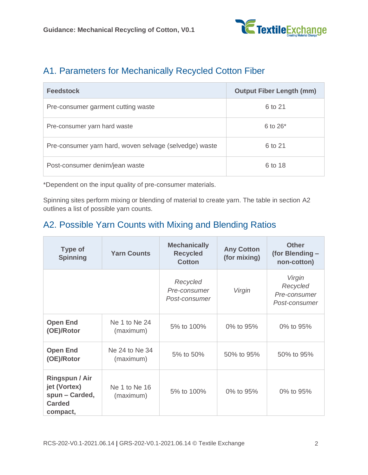

### <span id="page-1-0"></span>A1. Parameters for Mechanically Recycled Cotton Fiber

| <b>Feedstock</b>                                       | <b>Output Fiber Length (mm)</b> |
|--------------------------------------------------------|---------------------------------|
| Pre-consumer garment cutting waste                     | 6 to 21                         |
| Pre-consumer yarn hard waste                           | 6 to $26*$                      |
| Pre-consumer yarn hard, woven selvage (selvedge) waste | 6 to 21                         |
| Post-consumer denim/jean waste                         | 6 to 18                         |

\*Dependent on the input quality of pre-consumer materials.

Spinning sites perform mixing or blending of material to create yarn. The table in section [A2](#page-1-1) outlines a list of possible yarn counts.

### <span id="page-1-1"></span>A2. Possible Yarn Counts with Mixing and Blending Ratios

| <b>Type of</b><br><b>Spinning</b>                                             | <b>Yarn Counts</b>          | <b>Mechanically</b><br><b>Recycled</b><br><b>Cotton</b> | <b>Any Cotton</b><br>(for mixing) | <b>Other</b><br>(for Blending -<br>non-cotton)      |
|-------------------------------------------------------------------------------|-----------------------------|---------------------------------------------------------|-----------------------------------|-----------------------------------------------------|
|                                                                               |                             | Recycled<br>Pre-consumer<br>Post-consumer               | Virgin                            | Virgin<br>Recycled<br>Pre-consumer<br>Post-consumer |
| <b>Open End</b><br>(OE)/Rotor                                                 | Ne 1 to Ne 24<br>(maximum)  | 5% to 100%                                              | 0% to 95%                         | 0% to 95%                                           |
| <b>Open End</b><br>(OE)/Rotor                                                 | Ne 24 to Ne 34<br>(maximum) | 5% to 50%                                               | 50% to 95%                        | 50% to 95%                                          |
| Ringspun / Air<br>jet (Vortex)<br>spun - Carded,<br><b>Carded</b><br>compact, | Ne 1 to Ne 16<br>(maximum)  | 5% to 100%                                              | 0% to 95%                         | 0% to 95%                                           |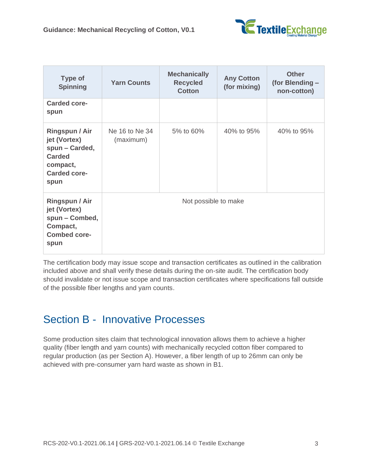

| <b>Type of</b><br><b>Spinning</b>                                                                                   | <b>Yarn Counts</b>          | <b>Mechanically</b><br><b>Recycled</b><br><b>Cotton</b> | <b>Any Cotton</b><br>(for mixing) | <b>Other</b><br>(for Blending -<br>non-cotton) |
|---------------------------------------------------------------------------------------------------------------------|-----------------------------|---------------------------------------------------------|-----------------------------------|------------------------------------------------|
| <b>Carded core-</b><br>spun                                                                                         |                             |                                                         |                                   |                                                |
| <b>Ringspun / Air</b><br>jet (Vortex)<br>spun - Carded,<br><b>Carded</b><br>compact,<br><b>Carded core-</b><br>spun | Ne 16 to Ne 34<br>(maximum) | 5% to 60%                                               | 40% to 95%                        | 40% to 95%                                     |
| <b>Ringspun / Air</b><br>jet (Vortex)<br>spun - Combed,<br>Compact,<br><b>Combed core-</b><br>spun                  |                             | Not possible to make                                    |                                   |                                                |

The certification body may issue scope and transaction certificates as outlined in the calibration included above and shall verify these details during the on-site audit. The certification body should invalidate or not issue scope and transaction certificates where specifications fall outside of the possible fiber lengths and yarn counts.

## Section B - Innovative Processes

Some production sites claim that technological innovation allows them to achieve a higher quality (fiber length and yarn counts) with mechanically recycled cotton fiber compared to regular production (as per Section A). However, a fiber length of up to 26mm can only be achieved with pre-consumer yarn hard waste as shown in [B1.](#page-3-0)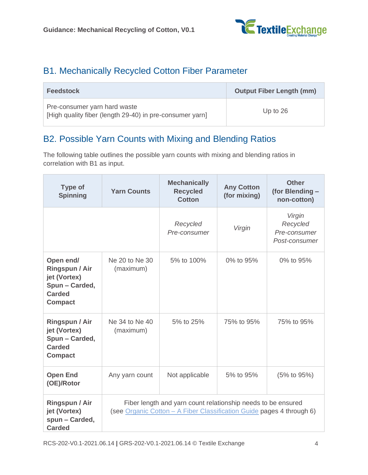

### <span id="page-3-0"></span>B1. Mechanically Recycled Cotton Fiber Parameter

| <b>Feedstock</b>                                                                         | <b>Output Fiber Length (mm)</b> |
|------------------------------------------------------------------------------------------|---------------------------------|
| Pre-consumer yarn hard waste<br>[High quality fiber (length 29-40) in pre-consumer yarn] | Up to $26$                      |

### <span id="page-3-1"></span>B2. Possible Yarn Counts with Mixing and Blending Ratios

The following table outlines the possible yarn counts with mixing and blending ratios in correlation with [B1](#page-3-0) as input.

| <b>Type of</b><br><b>Spinning</b>                                                                | <b>Yarn Counts</b>          | <b>Mechanically</b><br><b>Recycled</b><br><b>Cotton</b>                                                                               | <b>Any Cotton</b><br>(for mixing) | <b>Other</b><br>(for Blending -<br>non-cotton)      |
|--------------------------------------------------------------------------------------------------|-----------------------------|---------------------------------------------------------------------------------------------------------------------------------------|-----------------------------------|-----------------------------------------------------|
|                                                                                                  |                             | Recycled<br>Pre-consumer                                                                                                              | Virgin                            | Virgin<br>Recycled<br>Pre-consumer<br>Post-consumer |
| Open end/<br>Ringspun / Air<br>jet (Vortex)<br>Spun - Carded,<br><b>Carded</b><br><b>Compact</b> | Ne 20 to Ne 30<br>(maximum) | 5% to 100%                                                                                                                            | 0% to 95%                         | 0% to 95%                                           |
| Ringspun / Air<br>jet (Vortex)<br>Spun - Carded,<br><b>Carded</b><br><b>Compact</b>              | Ne 34 to Ne 40<br>(maximum) | 5% to 25%                                                                                                                             | 75% to 95%                        | 75% to 95%                                          |
| <b>Open End</b><br>(OE)/Rotor                                                                    | Any yarn count              | Not applicable                                                                                                                        | 5% to 95%                         | (5% to 95%)                                         |
| <b>Ringspun / Air</b><br>jet (Vortex)<br>spun - Carded,<br><b>Carded</b>                         |                             | Fiber length and yarn count relationship needs to be ensured<br>(see Organic Cotton - A Fiber Classification Guide pages 4 through 6) |                                   |                                                     |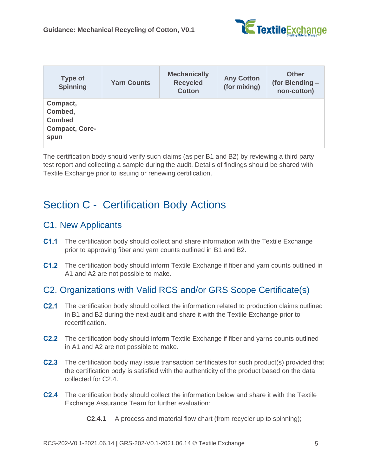

| Type of<br><b>Spinning</b>                                            | <b>Yarn Counts</b> | <b>Mechanically</b><br><b>Recycled</b><br><b>Cotton</b> | <b>Any Cotton</b><br>(for mixing) | <b>Other</b><br>(for Blending -<br>non-cotton) |
|-----------------------------------------------------------------------|--------------------|---------------------------------------------------------|-----------------------------------|------------------------------------------------|
| Compact,<br>Combed,<br><b>Combed</b><br><b>Compact, Core-</b><br>spun |                    |                                                         |                                   |                                                |

The certification body should verify such claims (as per [B1](#page-3-0) and [B2\)](#page-3-1) by reviewing a third party test report and collecting a sample during the audit. Details of findings should be shared with Textile Exchange prior to issuing or renewing certification.

# Section C - Certification Body Actions

#### C1. New Applicants

- **C1.1** The certification body should collect and share information with the Textile Exchange prior to approving fiber and yarn counts outlined in [B1](#page-3-0) and [B2.](#page-3-1)
- C1.2 The certification body should inform Textile Exchange if fiber and yarn counts outlined in A1 and A2 are not possible to make.

#### C2. Organizations with Valid RCS and/or GRS Scope Certificate(s)

- **C2.1** The certification body should collect the information related to production claims outlined in [B1](#page-3-0) and [B2](#page-3-1) during the next audit and share it with the Textile Exchange prior to recertification.
- C2.2 The certification body should inform Textile Exchange if fiber and yarns counts outlined in A1 and A2 are not possible to make.
- **C2.3** The certification body may issue transaction certificates for such product(s) provided that the certification body is satisfied with the authenticity of the product based on the data collected for [C2.4.](#page-4-0)
- <span id="page-4-0"></span>**C2.4** The certification body should collect the information below and share it with the Textile Exchange Assurance Team for further evaluation:
	- **C2.4.1** A process and material flow chart (from recycler up to spinning);